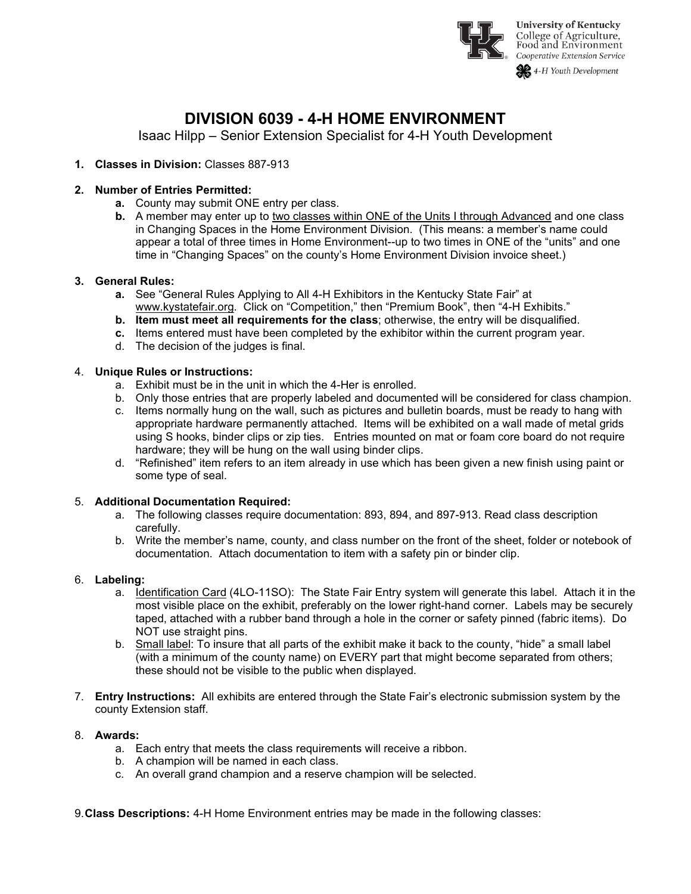

# **DIVISION 6039 - 4-H HOME ENVIRONMENT**

Isaac Hilpp – Senior Extension Specialist for 4-H Youth Development

## **1. Classes in Division:** Classes 887-913

### **2. Number of Entries Permitted:**

- **a.** County may submit ONE entry per class.
- **b.** A member may enter up to two classes within ONE of the Units I through Advanced and one class in Changing Spaces in the Home Environment Division. (This means: a member's name could appear a total of three times in Home Environment--up to two times in ONE of the "units" and one time in "Changing Spaces" on the county's Home Environment Division invoice sheet.)

#### **3. General Rules:**

- **a.** See "General Rules Applying to All 4-H Exhibitors in the Kentucky State Fair" at [www.kystatefair.org.](http://www.kystatefair.org/) Click on "Competition," then "Premium Book", then "4-H Exhibits."
- **b. Item must meet all requirements for the class**; otherwise, the entry will be disqualified.
- **c.** Items entered must have been completed by the exhibitor within the current program year.
- d. The decision of the judges is final.

#### 4. **Unique Rules or Instructions:**

- a. Exhibit must be in the unit in which the 4-Her is enrolled.
- b. Only those entries that are properly labeled and documented will be considered for class champion.
- c. Items normally hung on the wall, such as pictures and bulletin boards, must be ready to hang with appropriate hardware permanently attached. Items will be exhibited on a wall made of metal grids using S hooks, binder clips or zip ties. Entries mounted on mat or foam core board do not require hardware; they will be hung on the wall using binder clips.
- d. "Refinished" item refers to an item already in use which has been given a new finish using paint or some type of seal.

#### 5. **Additional Documentation Required:**

- a. The following classes require documentation: 893, 894, and 897-913. Read class description carefully.
- b. Write the member's name, county, and class number on the front of the sheet, folder or notebook of documentation. Attach documentation to item with a safety pin or binder clip.

### 6. **Labeling:**

- a. Identification Card (4LO-11SO): The State Fair Entry system will generate this label. Attach it in the most visible place on the exhibit, preferably on the lower right-hand corner. Labels may be securely taped, attached with a rubber band through a hole in the corner or safety pinned (fabric items). Do NOT use straight pins.
- b. Small label: To insure that all parts of the exhibit make it back to the county, "hide" a small label (with a minimum of the county name) on EVERY part that might become separated from others; these should not be visible to the public when displayed.
- 7. **Entry Instructions:** All exhibits are entered through the State Fair's electronic submission system by the county Extension staff.

### 8. **Awards:**

- a. Each entry that meets the class requirements will receive a ribbon.
- b. A champion will be named in each class.
- c. An overall grand champion and a reserve champion will be selected.
- 9.**Class Descriptions:** 4-H Home Environment entries may be made in the following classes: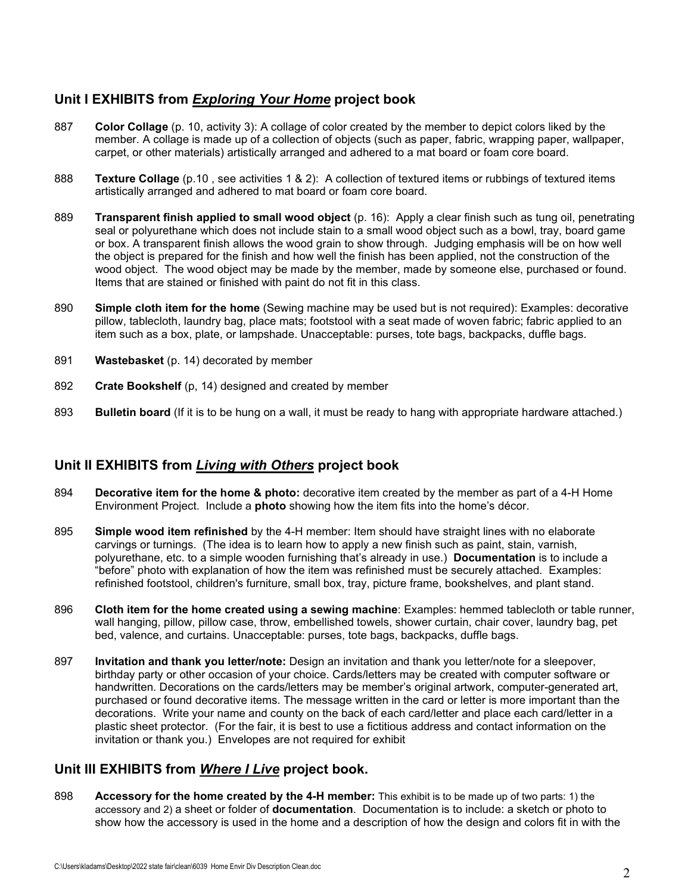# **Unit I EXHIBITS from** *Exploring Your Home* **project book**

- 887 **Color Collage** (p. 10, activity 3): A collage of color created by the member to depict colors liked by the member. A collage is made up of a collection of objects (such as paper, fabric, wrapping paper, wallpaper, carpet, or other materials) artistically arranged and adhered to a mat board or foam core board.
- 888 **Texture Collage** (p.10 , see activities 1 & 2): A collection of textured items or rubbings of textured items artistically arranged and adhered to mat board or foam core board.
- 889 **Transparent finish applied to small wood object** (p. 16): Apply a clear finish such as tung oil, penetrating seal or polyurethane which does not include stain to a small wood object such as a bowl, tray, board game or box. A transparent finish allows the wood grain to show through. Judging emphasis will be on how well the object is prepared for the finish and how well the finish has been applied, not the construction of the wood object. The wood object may be made by the member, made by someone else, purchased or found. Items that are stained or finished with paint do not fit in this class.
- 890 **Simple cloth item for the home** (Sewing machine may be used but is not required): Examples: decorative pillow, tablecloth, laundry bag, place mats; footstool with a seat made of woven fabric; fabric applied to an item such as a box, plate, or lampshade. Unacceptable: purses, tote bags, backpacks, duffle bags.
- 891 **Wastebasket** (p. 14) decorated by member
- 892 **Crate Bookshelf** (p, 14) designed and created by member
- 893 **Bulletin board** (If it is to be hung on a wall, it must be ready to hang with appropriate hardware attached.)

# **Unit II EXHIBITS from** *Living with Others* **project book**

- 894 **Decorative item for the home & photo:** decorative item created by the member as part of a 4-H Home Environment Project. Include a **photo** showing how the item fits into the home's décor.
- 895 **Simple wood item refinished** by the 4-H member: Item should have straight lines with no elaborate carvings or turnings. (The idea is to learn how to apply a new finish such as paint, stain, varnish, polyurethane, etc. to a simple wooden furnishing that's already in use.) **Documentation** is to include a "before" photo with explanation of how the item was refinished must be securely attached. Examples: refinished footstool, children's furniture, small box, tray, picture frame, bookshelves, and plant stand.
- 896 **Cloth item for the home created using a sewing machine**: Examples: hemmed tablecloth or table runner, wall hanging, pillow, pillow case, throw, embellished towels, shower curtain, chair cover, laundry bag, pet bed, valence, and curtains. Unacceptable: purses, tote bags, backpacks, duffle bags.
- 897 **Invitation and thank you letter/note:** Design an invitation and thank you letter/note for a sleepover, birthday party or other occasion of your choice. Cards/letters may be created with computer software or handwritten. Decorations on the cards/letters may be member's original artwork, computer-generated art, purchased or found decorative items. The message written in the card or letter is more important than the decorations. Write your name and county on the back of each card/letter and place each card/letter in a plastic sheet protector. (For the fair, it is best to use a fictitious address and contact information on the invitation or thank you.) Envelopes are not required for exhibit

# **Unit III EXHIBITS from** *Where I Live* **project book.**

898 **Accessory for the home created by the 4-H member:** This exhibit is to be made up of two parts: 1) the accessory and 2) a sheet or folder of **documentation**. Documentation is to include: a sketch or photo to show how the accessory is used in the home and a description of how the design and colors fit in with the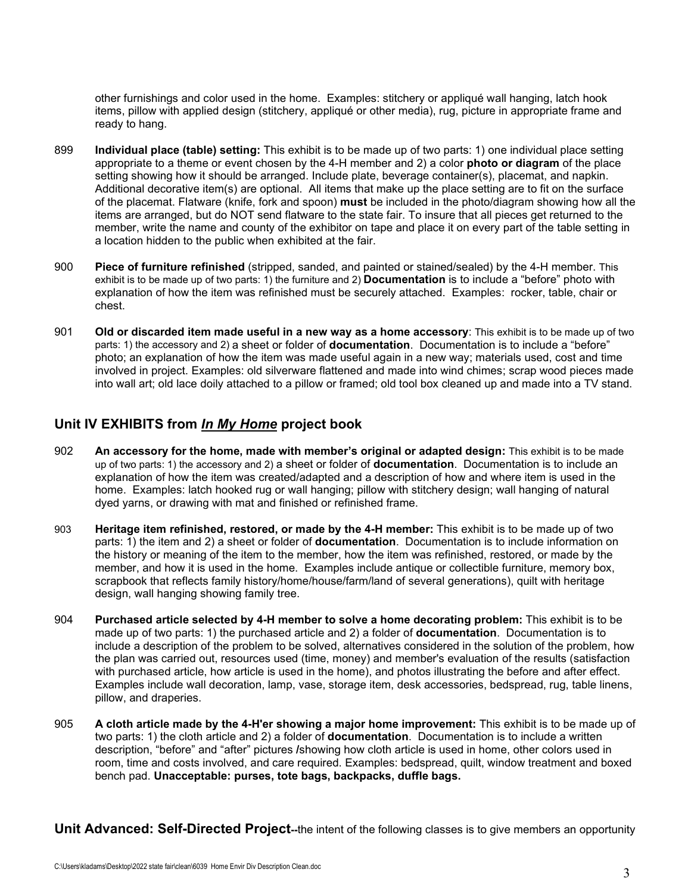other furnishings and color used in the home. Examples: stitchery or appliqué wall hanging, latch hook items, pillow with applied design (stitchery, appliqué or other media), rug, picture in appropriate frame and ready to hang.

- 899 **Individual place (table) setting:** This exhibit is to be made up of two parts: 1) one individual place setting appropriate to a theme or event chosen by the 4-H member and 2) a color **photo or diagram** of the place setting showing how it should be arranged. Include plate, beverage container(s), placemat, and napkin. Additional decorative item(s) are optional. All items that make up the place setting are to fit on the surface of the placemat. Flatware (knife, fork and spoon) **must** be included in the photo/diagram showing how all the items are arranged, but do NOT send flatware to the state fair. To insure that all pieces get returned to the member, write the name and county of the exhibitor on tape and place it on every part of the table setting in a location hidden to the public when exhibited at the fair.
- 900 **Piece of furniture refinished** (stripped, sanded, and painted or stained/sealed) by the 4-H member. This exhibit is to be made up of two parts: 1) the furniture and 2) **Documentation** is to include a "before" photo with explanation of how the item was refinished must be securely attached. Examples: rocker, table, chair or chest.
- 901 **Old or discarded item made useful in a new way as a home accessory**: This exhibit is to be made up of two parts: 1) the accessory and 2) a sheet or folder of **documentation**. Documentation is to include a "before" photo; an explanation of how the item was made useful again in a new way; materials used, cost and time involved in project. Examples: old silverware flattened and made into wind chimes; scrap wood pieces made into wall art; old lace doily attached to a pillow or framed; old tool box cleaned up and made into a TV stand.

# **Unit IV EXHIBITS from** *In My Home* **project book**

- 902 **An accessory for the home, made with member's original or adapted design:** This exhibit is to be made up of two parts: 1) the accessory and 2) a sheet or folder of **documentation**. Documentation is to include an explanation of how the item was created/adapted and a description of how and where item is used in the home. Examples: latch hooked rug or wall hanging; pillow with stitchery design; wall hanging of natural dyed yarns, or drawing with mat and finished or refinished frame.
- 903 **Heritage item refinished, restored, or made by the 4-H member:** This exhibit is to be made up of two parts: 1) the item and 2) a sheet or folder of **documentation**. Documentation is to include information on the history or meaning of the item to the member, how the item was refinished, restored, or made by the member, and how it is used in the home. Examples include antique or collectible furniture, memory box, scrapbook that reflects family history/home/house/farm/land of several generations), quilt with heritage design, wall hanging showing family tree.
- 904 **Purchased article selected by 4-H member to solve a home decorating problem:** This exhibit is to be made up of two parts: 1) the purchased article and 2) a folder of **documentation**. Documentation is to include a description of the problem to be solved, alternatives considered in the solution of the problem, how the plan was carried out, resources used (time, money) and member's evaluation of the results (satisfaction with purchased article, how article is used in the home), and photos illustrating the before and after effect. Examples include wall decoration, lamp, vase, storage item, desk accessories, bedspread, rug, table linens, pillow, and draperies.
- 905 **A cloth article made by the 4-H'er showing a major home improvement:** This exhibit is to be made up of two parts: 1) the cloth article and 2) a folder of **documentation**. Documentation is to include a written description, "before" and "after" pictures **/**showing how cloth article is used in home, other colors used in room, time and costs involved, and care required. Examples: bedspread, quilt, window treatment and boxed bench pad. **Unacceptable: purses, tote bags, backpacks, duffle bags.**

**Unit Advanced: Self-Directed Project--**the intent of the following classes is to give members an opportunity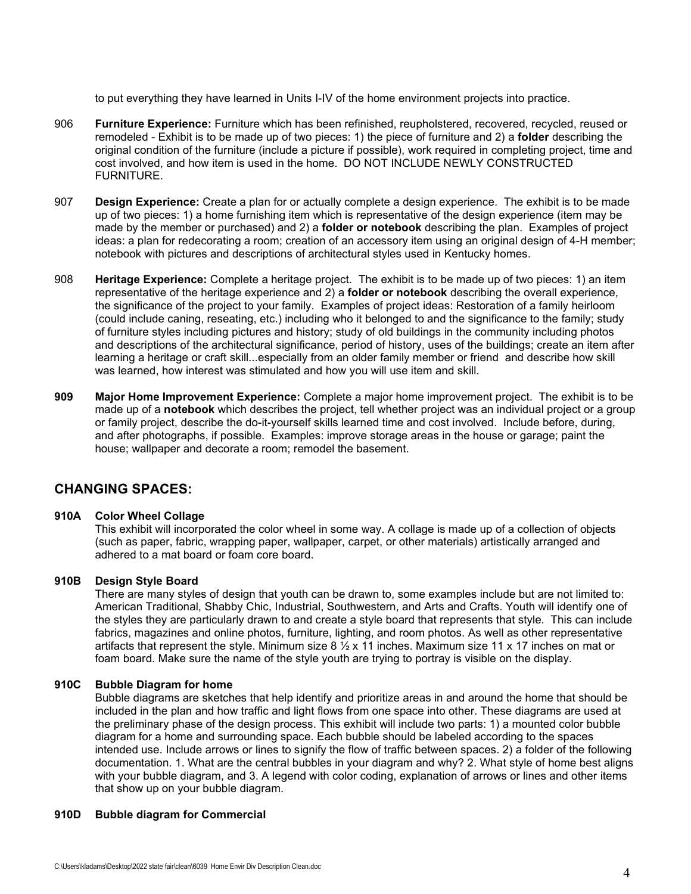to put everything they have learned in Units I-IV of the home environment projects into practice.

- 906 **Furniture Experience:** Furniture which has been refinished, reupholstered, recovered, recycled, reused or remodeled - Exhibit is to be made up of two pieces: 1) the piece of furniture and 2) a **folder** describing the original condition of the furniture (include a picture if possible), work required in completing project, time and cost involved, and how item is used in the home. DO NOT INCLUDE NEWLY CONSTRUCTED FURNITURE.
- 907 **Design Experience:** Create a plan for or actually complete a design experience. The exhibit is to be made up of two pieces: 1) a home furnishing item which is representative of the design experience (item may be made by the member or purchased) and 2) a **folder or notebook** describing the plan. Examples of project ideas: a plan for redecorating a room; creation of an accessory item using an original design of 4-H member; notebook with pictures and descriptions of architectural styles used in Kentucky homes.
- 908 **Heritage Experience:** Complete a heritage project. The exhibit is to be made up of two pieces: 1) an item representative of the heritage experience and 2) a **folder or notebook** describing the overall experience, the significance of the project to your family. Examples of project ideas: Restoration of a family heirloom (could include caning, reseating, etc.) including who it belonged to and the significance to the family; study of furniture styles including pictures and history; study of old buildings in the community including photos and descriptions of the architectural significance, period of history, uses of the buildings; create an item after learning a heritage or craft skill...especially from an older family member or friend and describe how skill was learned, how interest was stimulated and how you will use item and skill.
- **909 Major Home Improvement Experience:** Complete a major home improvement project. The exhibit is to be made up of a **notebook** which describes the project, tell whether project was an individual project or a group or family project, describe the do-it-yourself skills learned time and cost involved. Include before, during, and after photographs, if possible. Examples: improve storage areas in the house or garage; paint the house; wallpaper and decorate a room; remodel the basement.

# **CHANGING SPACES:**

#### **910A Color Wheel Collage**

This exhibit will incorporated the color wheel in some way. A collage is made up of a collection of objects (such as paper, fabric, wrapping paper, wallpaper, carpet, or other materials) artistically arranged and adhered to a mat board or foam core board.

#### **910B Design Style Board**

There are many styles of design that youth can be drawn to, some examples include but are not limited to: American Traditional, Shabby Chic, Industrial, Southwestern, and Arts and Crafts. Youth will identify one of the styles they are particularly drawn to and create a style board that represents that style. This can include fabrics, magazines and online photos, furniture, lighting, and room photos. As well as other representative artifacts that represent the style. Minimum size 8 ½ x 11 inches. Maximum size 11 x 17 inches on mat or foam board. Make sure the name of the style youth are trying to portray is visible on the display.

#### **910C Bubble Diagram for home**

Bubble diagrams are sketches that help identify and prioritize areas in and around the home that should be included in the plan and how traffic and light flows from one space into other. These diagrams are used at the preliminary phase of the design process. This exhibit will include two parts: 1) a mounted color bubble diagram for a home and surrounding space. Each bubble should be labeled according to the spaces intended use. Include arrows or lines to signify the flow of traffic between spaces. 2) a folder of the following documentation. 1. What are the central bubbles in your diagram and why? 2. What style of home best aligns with your bubble diagram, and 3. A legend with color coding, explanation of arrows or lines and other items that show up on your bubble diagram.

#### **910D Bubble diagram for Commercial**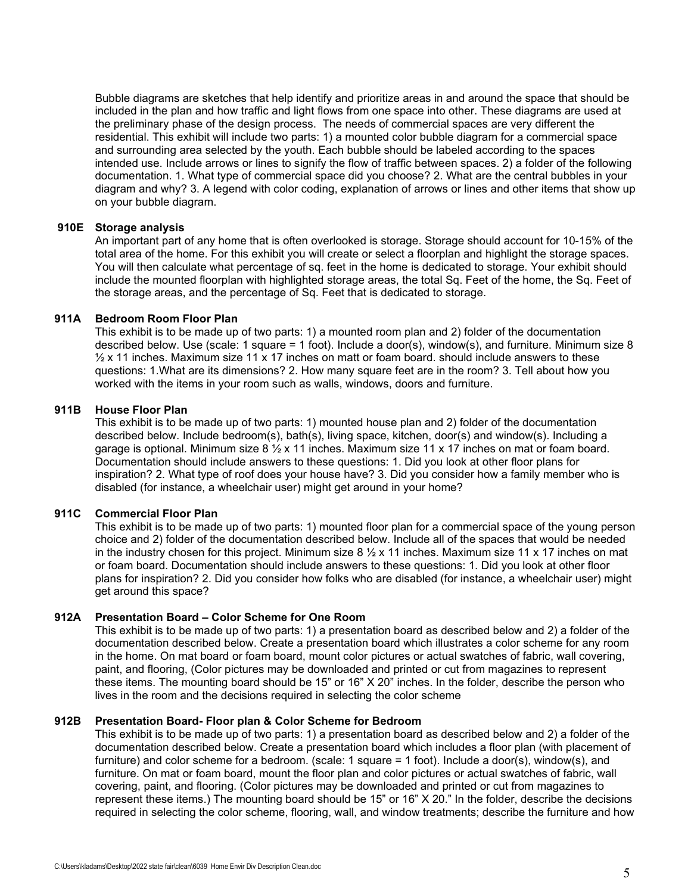Bubble diagrams are sketches that help identify and prioritize areas in and around the space that should be included in the plan and how traffic and light flows from one space into other. These diagrams are used at the preliminary phase of the design process. The needs of commercial spaces are very different the residential. This exhibit will include two parts: 1) a mounted color bubble diagram for a commercial space and surrounding area selected by the youth. Each bubble should be labeled according to the spaces intended use. Include arrows or lines to signify the flow of traffic between spaces. 2) a folder of the following documentation. 1. What type of commercial space did you choose? 2. What are the central bubbles in your diagram and why? 3. A legend with color coding, explanation of arrows or lines and other items that show up on your bubble diagram.

#### **910E Storage analysis**

An important part of any home that is often overlooked is storage. Storage should account for 10-15% of the total area of the home. For this exhibit you will create or select a floorplan and highlight the storage spaces. You will then calculate what percentage of sq. feet in the home is dedicated to storage. Your exhibit should include the mounted floorplan with highlighted storage areas, the total Sq. Feet of the home, the Sq. Feet of the storage areas, and the percentage of Sq. Feet that is dedicated to storage.

#### **911A Bedroom Room Floor Plan**

This exhibit is to be made up of two parts: 1) a mounted room plan and 2) folder of the documentation described below. Use (scale: 1 square = 1 foot). Include a door(s), window(s), and furniture. Minimum size 8  $\frac{1}{2}$  x 11 inches. Maximum size 11 x 17 inches on matt or foam board. should include answers to these questions: 1.What are its dimensions? 2. How many square feet are in the room? 3. Tell about how you worked with the items in your room such as walls, windows, doors and furniture.

### **911B House Floor Plan**

This exhibit is to be made up of two parts: 1) mounted house plan and 2) folder of the documentation described below. Include bedroom(s), bath(s), living space, kitchen, door(s) and window(s). Including a garage is optional. Minimum size 8 ½ x 11 inches. Maximum size 11 x 17 inches on mat or foam board. Documentation should include answers to these questions: 1. Did you look at other floor plans for inspiration? 2. What type of roof does your house have? 3. Did you consider how a family member who is disabled (for instance, a wheelchair user) might get around in your home?

## **911C Commercial Floor Plan**

This exhibit is to be made up of two parts: 1) mounted floor plan for a commercial space of the young person choice and 2) folder of the documentation described below. Include all of the spaces that would be needed in the industry chosen for this project. Minimum size  $8\frac{1}{2} \times 11$  inches. Maximum size 11 x 17 inches on mat or foam board. Documentation should include answers to these questions: 1. Did you look at other floor plans for inspiration? 2. Did you consider how folks who are disabled (for instance, a wheelchair user) might get around this space?

#### **912A Presentation Board – Color Scheme for One Room**

This exhibit is to be made up of two parts: 1) a presentation board as described below and 2) a folder of the documentation described below. Create a presentation board which illustrates a color scheme for any room in the home. On mat board or foam board, mount color pictures or actual swatches of fabric, wall covering, paint, and flooring, (Color pictures may be downloaded and printed or cut from magazines to represent these items. The mounting board should be 15" or 16" X 20" inches. In the folder, describe the person who lives in the room and the decisions required in selecting the color scheme

#### **912B Presentation Board- Floor plan & Color Scheme for Bedroom**

This exhibit is to be made up of two parts: 1) a presentation board as described below and 2) a folder of the documentation described below. Create a presentation board which includes a floor plan (with placement of furniture) and color scheme for a bedroom. (scale: 1 square = 1 foot). Include a door(s), window(s), and furniture. On mat or foam board, mount the floor plan and color pictures or actual swatches of fabric, wall covering, paint, and flooring. (Color pictures may be downloaded and printed or cut from magazines to represent these items.) The mounting board should be 15" or 16" X 20." In the folder, describe the decisions required in selecting the color scheme, flooring, wall, and window treatments; describe the furniture and how